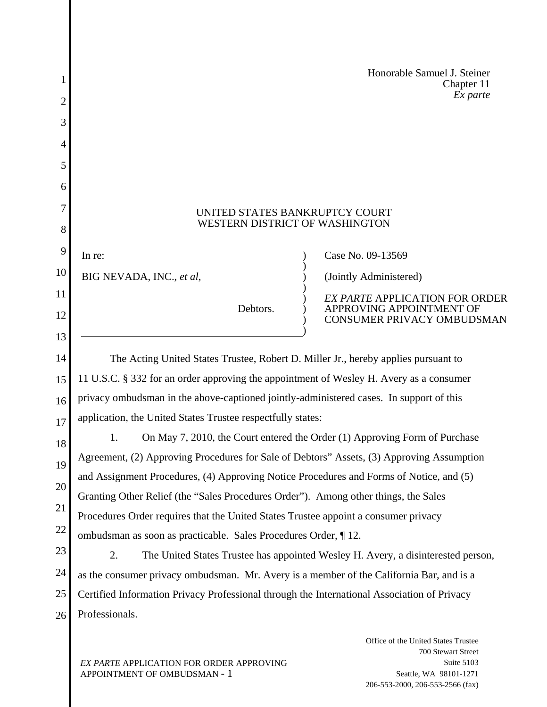|    | Honorable Samuel J. Steiner<br>Chapter 11                                                                                                                                          |
|----|------------------------------------------------------------------------------------------------------------------------------------------------------------------------------------|
| 2  | Ex parte                                                                                                                                                                           |
| 3  |                                                                                                                                                                                    |
| 4  |                                                                                                                                                                                    |
| 5  |                                                                                                                                                                                    |
| 6  |                                                                                                                                                                                    |
| 7  | UNITED STATES BANKRUPTCY COURT                                                                                                                                                     |
| 8  | WESTERN DISTRICT OF WASHINGTON                                                                                                                                                     |
| 9  | In re:<br>Case No. 09-13569                                                                                                                                                        |
| 10 | (Jointly Administered)<br>BIG NEVADA, INC., et al,                                                                                                                                 |
| 11 | <b>EX PARTE APPLICATION FOR ORDER</b>                                                                                                                                              |
| 12 | APPROVING APPOINTMENT OF<br>Debtors.<br>CONSUMER PRIVACY OMBUDSMAN                                                                                                                 |
| 13 |                                                                                                                                                                                    |
| 14 | The Acting United States Trustee, Robert D. Miller Jr., hereby applies pursuant to                                                                                                 |
| 15 | 11 U.S.C. § 332 for an order approving the appointment of Wesley H. Avery as a consumer                                                                                            |
| 16 | privacy ombudsman in the above-captioned jointly-administered cases. In support of this                                                                                            |
| 17 | application, the United States Trustee respectfully states:                                                                                                                        |
| 18 | On May 7, 2010, the Court entered the Order (1) Approving Form of Purchase<br>1.                                                                                                   |
| 19 | Agreement, (2) Approving Procedures for Sale of Debtors" Assets, (3) Approving Assumption                                                                                          |
| 20 | and Assignment Procedures, (4) Approving Notice Procedures and Forms of Notice, and (5)                                                                                            |
| 21 | Granting Other Relief (the "Sales Procedures Order"). Among other things, the Sales                                                                                                |
| 22 | Procedures Order requires that the United States Trustee appoint a consumer privacy                                                                                                |
| 23 | ombudsman as soon as practicable. Sales Procedures Order, 12.                                                                                                                      |
| 24 | 2.<br>The United States Trustee has appointed Wesley H. Avery, a disinterested person,<br>as the consumer privacy ombudsman. Mr. Avery is a member of the California Bar, and is a |
| 25 | Certified Information Privacy Professional through the International Association of Privacy                                                                                        |
| 26 | Professionals.                                                                                                                                                                     |
|    |                                                                                                                                                                                    |
|    | Office of the United States Trustee                                                                                                                                                |

*EX PARTE* APPLICATION FOR ORDER APPROVING APPOINTMENT OF OMBUDSMAN - 1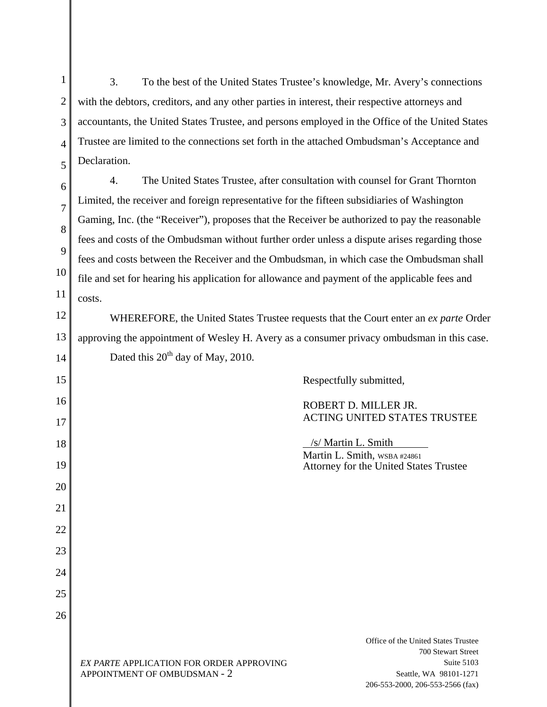1 2 3 4 5 3. To the best of the United States Trustee's knowledge, Mr. Avery's connections with the debtors, creditors, and any other parties in interest, their respective attorneys and accountants, the United States Trustee, and persons employed in the Office of the United States Trustee are limited to the connections set forth in the attached Ombudsman's Acceptance and Declaration.

6 7 8 9 10 11 4. The United States Trustee, after consultation with counsel for Grant Thornton Limited, the receiver and foreign representative for the fifteen subsidiaries of Washington Gaming, Inc. (the "Receiver"), proposes that the Receiver be authorized to pay the reasonable fees and costs of the Ombudsman without further order unless a dispute arises regarding those fees and costs between the Receiver and the Ombudsman, in which case the Ombudsman shall file and set for hearing his application for allowance and payment of the applicable fees and costs.

12 13 14 WHEREFORE, the United States Trustee requests that the Court enter an *ex parte* Order approving the appointment of Wesley H. Avery as a consumer privacy ombudsman in this case. Dated this  $20^{th}$  day of May, 2010.

15 16 17 18 19 20 21 22 23 24 25 26 Respectfully submitted, ROBERT D. MILLER JR. ACTING UNITED STATES TRUSTEE /s/ Martin L. Smith Martin L. Smith, WSBA #24861 Attorney for the United States Trustee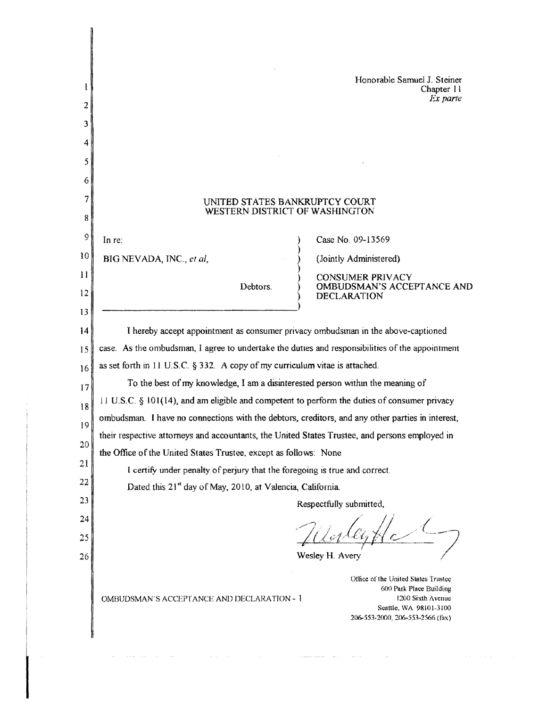| Ł       | Honorable Samuel J. Steiner<br>Chapter 11                                                                                                                                                              |
|---------|--------------------------------------------------------------------------------------------------------------------------------------------------------------------------------------------------------|
| 2       | Ex parte                                                                                                                                                                                               |
| 3       |                                                                                                                                                                                                        |
| 4       |                                                                                                                                                                                                        |
| 5       |                                                                                                                                                                                                        |
| 6       |                                                                                                                                                                                                        |
| 7       | UNITED STATES BANKRUPTCY COURT<br>WESTERN DISTRICT OF WASHINGTON                                                                                                                                       |
| 8       |                                                                                                                                                                                                        |
| 9       | Case No. 09-13569<br>In re:                                                                                                                                                                            |
| 10      | (Jointly Administered)<br>BIG NEVADA, INC., et al,                                                                                                                                                     |
| $_{11}$ | <b>CONSUMER PRIVACY</b><br>Debtors.<br>OMBUDSMAN'S ACCEPTANCE AND                                                                                                                                      |
| 12      | <b>DECLARATION</b>                                                                                                                                                                                     |
| 13      |                                                                                                                                                                                                        |
| 14      | I hereby accept appointment as consumer privacy ombudsman in the above-captioned                                                                                                                       |
| 15      | case. As the ombudsman, I agree to undertake the duties and responsibilities of the appointment<br>as set forth in $11 \text{ U.S.C. }$ § 332. A copy of my curriculum vitae is attached.              |
| 16      | To the best of my knowledge, I am a disinterested person within the meaning of                                                                                                                         |
| 17      | $11 \text{ U.S.C.}$ \$101(14), and am eligible and competent to perform the duties of consumer privacy                                                                                                 |
| 18      | ombudsman. I have no connections with the debtors, creditors, and any other parties in interest,                                                                                                       |
| 19      | their respective attorneys and accountants, the United States Trustee, and persons employed in                                                                                                         |
| 20      | the Office of the United States Trustee, except as follows: None                                                                                                                                       |
| 21      | I certify under penalty of perjury that the foregoing is true and correct.                                                                                                                             |
| 22      | Dated this 21 <sup>st</sup> day of May, 2010, at Valencia, California.                                                                                                                                 |
| 23      | Respectfully submitted,                                                                                                                                                                                |
| 24      |                                                                                                                                                                                                        |
| 25      |                                                                                                                                                                                                        |
| 26      | Wesley H. Avery                                                                                                                                                                                        |
|         | Office of the United States Trustee<br>600 Park Place Building<br>1200 Sixth Avenue<br><b>OMBUDSMAN'S ACCEPTANCE AND DECLARATION - 1</b><br>Seattle, WA 98101-3100<br>206-553-2000, 206-553-2566 (fax) |

 $\sim$   $\sim$ 

 $\label{eq:1} \hat{X}(\hat{X}) = \text{superspace}(\hat{X}) \hat{X} = \text{supp}(\hat{X}) \text{supp}(\hat{X}) \hat{X}$ 

 $\sim$   $\sim$   $\sim$ 

 $\sim$   $\sim$ 

 $\mathcal{A}(\mathcal{A})$  , and  $\mathcal{A}(\mathcal{A})$  , and